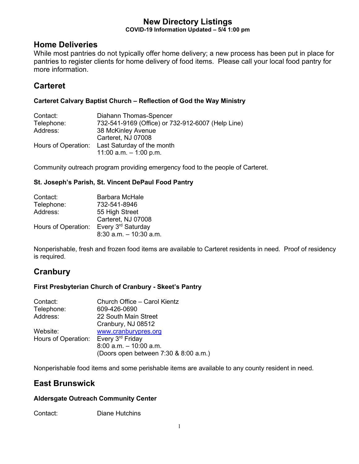### **New Directory Listings COVID-19 Information Updated – 5/4 1:00 pm**

## **Home Deliveries**

While most pantries do not typically offer home delivery; a new process has been put in place for pantries to register clients for home delivery of food items. Please call your local food pantry for more information.

## **Carteret**

### **Carteret Calvary Baptist Church – Reflection of God the Way Ministry**

| Contact:   | Diahann Thomas-Spencer                            |
|------------|---------------------------------------------------|
| Telephone: | 732-541-9169 (Office) or 732-912-6007 (Help Line) |
| Address:   | 38 McKinley Avenue                                |
|            | Carteret, NJ 07008                                |
|            | Hours of Operation: Last Saturday of the month    |
|            | 11:00 a.m. $-$ 1:00 p.m.                          |

Community outreach program providing emergency food to the people of Carteret.

## **St. Joseph's Parish, St. Vincent DePaul Food Pantry**

| Contact:            | Barbara McHale            |
|---------------------|---------------------------|
| Telephone:          | 732-541-8946              |
| Address:            | 55 High Street            |
|                     | Carteret, NJ 07008        |
| Hours of Operation: | Every 3rd Saturday        |
|                     | $8:30$ a.m. $-10:30$ a.m. |

Nonperishable, fresh and frozen food items are available to Carteret residents in need. Proof of residency is required.

# **Cranbury**

## **First Presbyterian Church of Cranbury - Skeet's Pantry**

| Church Office - Carol Kientz              |
|-------------------------------------------|
| 609-426-0690                              |
| 22 South Main Street                      |
| Cranbury, NJ 08512                        |
| www.cranburypres.org                      |
| Hours of Operation: Every 3rd Friday      |
| $8:00$ a.m. $-10:00$ a.m.                 |
| (Doors open between $7:30$ & $8:00$ a.m.) |
|                                           |

Nonperishable food items and some perishable items are available to any county resident in need.

# **East Brunswick**

## **Aldersgate Outreach Community Center**

Contact: Diane Hutchins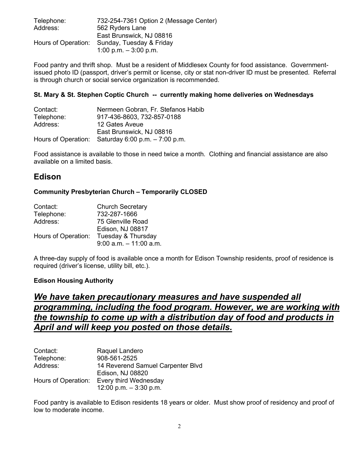| Telephone: | 732-254-7361 Option 2 (Message Center)       |
|------------|----------------------------------------------|
| Address:   | 562 Ryders Lane                              |
|            | East Brunswick, NJ 08816                     |
|            | Hours of Operation: Sunday, Tuesday & Friday |
|            | 1:00 p.m. $-3:00$ p.m.                       |

Food pantry and thrift shop. Must be a resident of Middlesex County for food assistance. Governmentissued photo ID (passport, driver's permit or license, city or stat non-driver ID must be presented. Referral is through church or social service organization is recommended.

### **St. Mary & St. Stephen Coptic Church -- currently making home deliveries on Wednesdays**

| Contact:   | Nermeen Gobran, Fr. Stefanos Habib                    |
|------------|-------------------------------------------------------|
| Telephone: | 917-436-8603, 732-857-0188                            |
| Address:   | 12 Gates Aveue                                        |
|            | East Brunswick, NJ 08816                              |
|            | Hours of Operation: Saturday $6:00$ p.m. $-7:00$ p.m. |

Food assistance is available to those in need twice a month. Clothing and financial assistance are also available on a limited basis.

## **Edison**

### **Community Presbyterian Church – Temporarily CLOSED**

| Contact:            | <b>Church Secretary</b>   |  |
|---------------------|---------------------------|--|
| Telephone:          | 732-287-1666              |  |
| Address:            | 75 Glenville Road         |  |
|                     | Edison, NJ 08817          |  |
| Hours of Operation: | Tuesday & Thursday        |  |
|                     | $9:00$ a.m. $-11:00$ a.m. |  |

A three-day supply of food is available once a month for Edison Township residents, proof of residence is required (driver's license, utility bill, etc.).

### **Edison Housing Authority**

# *We have taken precautionary measures and have suspended all programming, including the food program. However, we are working with the township to come up with a distribution day of food and products in April and will keep you posted on those details.*

| Contact:            | Raquel Landero                    |
|---------------------|-----------------------------------|
| Telephone:          | 908-561-2525                      |
| Address:            | 14 Reverend Samuel Carpenter Blvd |
|                     | Edison, NJ 08820                  |
| Hours of Operation: | Every third Wednesday             |
|                     | 12:00 p.m. $-3:30$ p.m.           |

Food pantry is available to Edison residents 18 years or older. Must show proof of residency and proof of low to moderate income.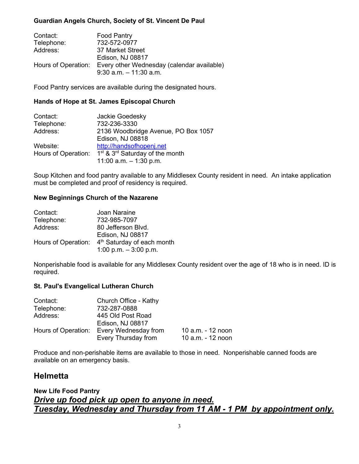### **Guardian Angels Church, Society of St. Vincent De Paul**

| Contact:            | <b>Food Pantry</b>                         |
|---------------------|--------------------------------------------|
| Telephone:          | 732-572-0977                               |
| Address:            | 37 Market Street                           |
|                     | Edison, NJ 08817                           |
| Hours of Operation: | Every other Wednesday (calendar available) |
|                     | $9:30$ a.m. $-11:30$ a.m.                  |

Food Pantry services are available during the designated hours.

### **Hands of Hope at St. James Episcopal Church**

| Contact:            | Jackie Goedesky                                         |
|---------------------|---------------------------------------------------------|
| Telephone:          | 732-236-3330                                            |
| Address:            | 2136 Woodbridge Avenue, PO Box 1057                     |
|                     | Edison, NJ 08818                                        |
| Website:            | http://handsofhopenj.net                                |
| Hours of Operation: | 1 <sup>st</sup> & 3 <sup>rd</sup> Saturday of the month |
|                     | 11:00 a.m. $-$ 1:30 p.m.                                |

Soup Kitchen and food pantry available to any Middlesex County resident in need. An intake application must be completed and proof of residency is required.

### **New Beginnings Church of the Nazarene**

| Contact:            | Joan Naraine                           |
|---------------------|----------------------------------------|
| Telephone:          | 732-985-7097                           |
| Address:            | 80 Jefferson Blvd.                     |
|                     | <b>Edison, NJ 08817</b>                |
| Hours of Operation: | 4 <sup>th</sup> Saturday of each month |
|                     | 1:00 p.m. $-3:00$ p.m.                 |

Nonperishable food is available for any Middlesex County resident over the age of 18 who is in need. ID is required.

### **St. Paul's Evangelical Lutheran Church**

| Contact:            | Church Office - Kathy |                   |
|---------------------|-----------------------|-------------------|
| Telephone:          | 732-287-0888          |                   |
| Address:            | 445 Old Post Road     |                   |
|                     | Edison, NJ 08817      |                   |
| Hours of Operation: | Every Wednesday from  | 10 a.m. - 12 noon |
|                     | Every Thursday from   | 10 a.m. - 12 noon |

Produce and non-perishable items are available to those in need. Nonperishable canned foods are available on an emergency basis.

## **Helmetta**

## **New Life Food Pantry**  *Drive up food pick up open to anyone in need. Tuesday, Wednesday and Thursday from 11 AM - 1 PM by appointment only.*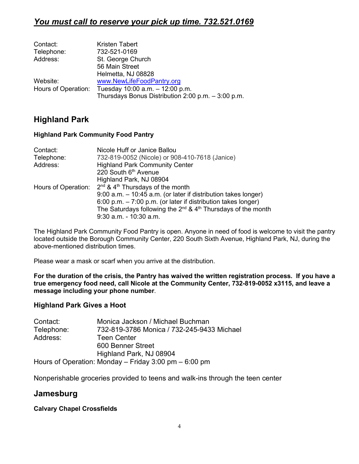# *You must call to reserve your pick up time. 732.521.0169*

| Kristen Tabert                                         |
|--------------------------------------------------------|
| 732-521-0169                                           |
| St. George Church                                      |
| 56 Main Street                                         |
| Helmetta, NJ 08828                                     |
| www.NewLifeFoodPantry.org                              |
| Hours of Operation: Tuesday $10:00$ a.m. $-12:00$ p.m. |
| Thursdays Bonus Distribution 2:00 p.m. $-3:00$ p.m.    |
|                                                        |

# **Highland Park**

### **Highland Park Community Food Pantry**

| Contact:   | Nicole Huff or Janice Ballou                                           |
|------------|------------------------------------------------------------------------|
| Telephone: | 732-819-0052 (Nicole) or 908-410-7618 (Janice)                         |
| Address:   | <b>Highland Park Community Center</b>                                  |
|            | 220 South 6th Avenue                                                   |
|            | Highland Park, NJ 08904                                                |
|            | Hours of Operation: $2^{nd}$ & 4 <sup>th</sup> Thursdays of the month  |
|            | 9:00 a.m. - 10:45 a.m. (or later if distribution takes longer)         |
|            | 6:00 p.m. $-7:00$ p.m. (or later if distribution takes longer)         |
|            | The Saturdays following the $2^{nd}$ & $4^{th}$ Thursdays of the month |
|            | 9:30 a.m. - 10:30 a.m.                                                 |

The Highland Park Community Food Pantry is open. Anyone in need of food is welcome to visit the pantry located outside the Borough Community Center, 220 South Sixth Avenue, Highland Park, NJ, during the above-mentioned distribution times.

Please wear a mask or scarf when you arrive at the distribution.

**For the duration of the crisis, the Pantry has waived the written registration process. If you have a true emergency food need, call Nicole at the Community Center, 732-819-0052 x3115, and leave a message including your phone number**.

## **Highland Park Gives a Hoot**

| Contact:   | Monica Jackson / Michael Buchman                          |
|------------|-----------------------------------------------------------|
| Telephone: | 732-819-3786 Monica / 732-245-9433 Michael                |
| Address:   | <b>Teen Center</b>                                        |
|            | 600 Benner Street                                         |
|            | Highland Park, NJ 08904                                   |
|            | Hours of Operation: Monday $-$ Friday 3:00 pm $-$ 6:00 pm |

Nonperishable groceries provided to teens and walk-ins through the teen center

## **Jamesburg**

### **Calvary Chapel Crossfields**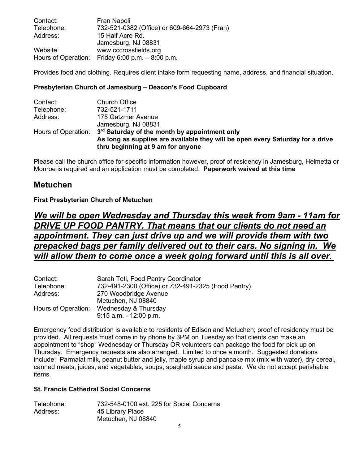| Contact:   | Fran Napoli                                       |
|------------|---------------------------------------------------|
| Telephone: | 732-521-0382 (Office) or 609-664-2973 (Fran)      |
| Address:   | 15 Half Acre Rd.                                  |
|            | Jamesburg, NJ 08831                               |
| Website:   | www.cccrossfields.org                             |
|            | Hours of Operation: Friday 6:00 p.m. $-8:00$ p.m. |

Provides food and clothing. Requires client intake form requesting name, address, and financial situation.

### **Presbyterian Church of Jamesburg – Deacon's Food Cupboard**

| Contact:   | <b>Church Office</b>                                                                                                |
|------------|---------------------------------------------------------------------------------------------------------------------|
| Telephone: | 732-521-1711                                                                                                        |
| Address:   | 175 Gatzmer Avenue                                                                                                  |
|            | Jamesburg, NJ 08831                                                                                                 |
|            | Hours of Operation: 3 <sup>rd</sup> Saturday of the month by appointment only                                       |
|            | As long as supplies are available they will be open every Saturday for a drive<br>thru beginning at 9 am for anyone |

Please call the church office for specific information however, proof of residency in Jamesburg, Helmetta or Monroe is required and an application must be completed. **Paperwork waived at this time**

## **Metuchen**

### **First Presbyterian Church of Metuchen**

# *We will be open Wednesday and Thursday this week from 9am - 11am for DRIVE UP FOOD PANTRY. That means that our clients do not need an appointment. They can just drive up and we will provide them with two prepacked bags per family delivered out to their cars. No signing in. We will allow them to come once a week going forward until this is all over.*

| Contact:            | Sarah Teti, Food Pantry Coordinator                 |
|---------------------|-----------------------------------------------------|
| Telephone:          | 732-491-2300 (Office) or 732-491-2325 (Food Pantry) |
| Address:            | 270 Woodbridge Avenue                               |
|                     | Metuchen, NJ 08840                                  |
| Hours of Operation: | Wednesday & Thursday                                |
|                     | $9:15$ a.m. $-12:00$ p.m.                           |

Emergency food distribution is available to residents of Edison and Metuchen; proof of residency must be provided. All requests must come in by phone by 3PM on Tuesday so that clients can make an appointment to "shop" Wednesday or Thursday OR volunteers can package the food for pick up on Thursday. Emergency requests are also arranged. Limited to once a month. Suggested donations include: Parmalat milk, peanut butter and jelly, maple syrup and pancake mix (mix with water), dry cereal, canned meats, juices, and vegetables, soups, spaghetti sauce and pasta. We do not accept perishable items.

#### **St. Francis Cathedral Social Concerns**

| Telephone: | 732-548-0100 ext. 225 for Social Concerns |
|------------|-------------------------------------------|
| Address:   | 45 Library Place                          |
|            | Metuchen, NJ 08840                        |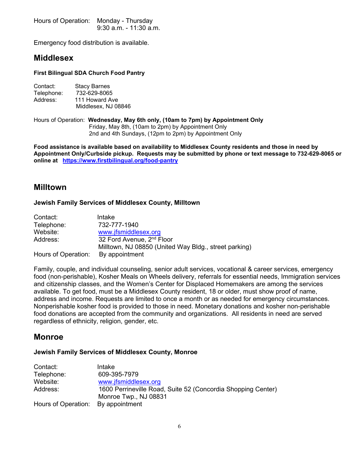Hours of Operation: Monday - Thursday 9:30 a.m. - 11:30 a.m.

Emergency food distribution is available.

## **Middlesex**

#### **First Bilingual SDA Church Food Pantry**

| Contact:   | <b>Stacy Barnes</b> |
|------------|---------------------|
| Telephone: | 732-629-8065        |
| Address:   | 111 Howard Ave      |
|            | Middlesex, NJ 08846 |

Hours of Operation: **Wednesday, May 6th only, (10am to 7pm) by Appointment Only** Friday, May 8th, (10am to 2pm) by Appointment Only 2nd and 4th Sundays, (12pm to 2pm) by Appointment Only

**Food assistance is available based on availability to Middlesex County residents and those in need by Appointment Only/Curbside pickup. Requests may be submitted by phone or text message to 732-629-8065 or online at <https://www.firstbilingual.org/food-pantry>**

## **Milltown**

### **Jewish Family Services of Middlesex County, Milltown**

| Contact:            | Intake                                                |
|---------------------|-------------------------------------------------------|
| Telephone:          | 732-777-1940                                          |
| Website:            | www.jfsmiddlesex.org                                  |
| Address:            | 32 Ford Avenue, 2 <sup>nd</sup> Floor                 |
|                     | Milltown, NJ 08850 (United Way Bldg., street parking) |
| Hours of Operation: | By appointment                                        |

Family, couple, and individual counseling, senior adult services, vocational & career services, emergency food (non-perishable), Kosher Meals on Wheels delivery, referrals for essential needs, Immigration services and citizenship classes, and the Women's Center for Displaced Homemakers are among the services available. To get food, must be a Middlesex County resident, 18 or older, must show proof of name, address and income. Requests are limited to once a month or as needed for emergency circumstances. Nonperishable kosher food is provided to those in need. Monetary donations and kosher non-perishable food donations are accepted from the community and organizations. All residents in need are served regardless of ethnicity, religion, gender, etc.

## **Monroe**

#### **Jewish Family Services of Middlesex County, Monroe**

| Contact:            | Intake                                                       |
|---------------------|--------------------------------------------------------------|
| Telephone:          | 609-395-7979                                                 |
| Website:            | www.jfsmiddlesex.org                                         |
| Address:            | 1600 Perrineville Road, Suite 52 (Concordia Shopping Center) |
|                     | Monroe Twp., NJ 08831                                        |
| Hours of Operation: | By appointment                                               |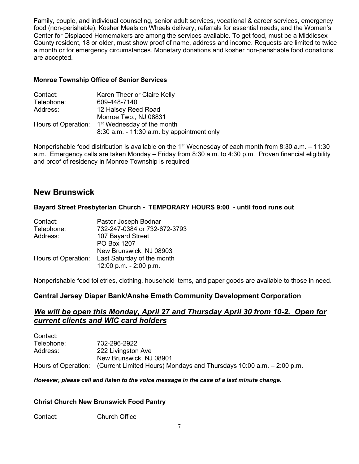Family, couple, and individual counseling, senior adult services, vocational & career services, emergency food (non-perishable), Kosher Meals on Wheels delivery, referrals for essential needs, and the Women's Center for Displaced Homemakers are among the services available. To get food, must be a Middlesex County resident, 18 or older, must show proof of name, address and income. Requests are limited to twice a month or for emergency circumstances. Monetary donations and kosher non-perishable food donations are accepted.

### **Monroe Township Office of Senior Services**

| Contact:            | Karen Theer or Claire Kelly                  |
|---------------------|----------------------------------------------|
| Telephone:          | 609-448-7140                                 |
| Address:            | 12 Halsey Reed Road                          |
|                     | Monroe Twp., NJ 08831                        |
| Hours of Operation: | 1 <sup>st</sup> Wednesday of the month       |
|                     | $8:30$ a.m. - 11:30 a.m. by appointment only |

Nonperishable food distribution is available on the 1<sup>st</sup> Wednesday of each month from 8:30 a.m.  $-11:30$ a.m. Emergency calls are taken Monday – Friday from 8:30 a.m. to 4:30 p.m. Proven financial eligibility and proof of residency in Monroe Township is required

## **New Brunswick**

### **Bayard Street Presbyterian Church - TEMPORARY HOURS 9:00 - until food runs out**

| Contact:            | Pastor Joseph Bodnar         |
|---------------------|------------------------------|
| Telephone:          | 732-247-0384 or 732-672-3793 |
| Address:            | 107 Bayard Street            |
|                     | PO Box 1207                  |
|                     | New Brunswick, NJ 08903      |
| Hours of Operation: | Last Saturday of the month   |
|                     | 12:00 p.m. - 2:00 p.m.       |
|                     |                              |

Nonperishable food toiletries, clothing, household items, and paper goods are available to those in need.

## **Central Jersey Diaper Bank/Anshe Emeth Community Development Corporation**

## *We will be open this Monday, April 27 and Thursday April 30 from 10-2. Open for current clients and WIC card holders*

| Contact:   |                                                                                          |
|------------|------------------------------------------------------------------------------------------|
| Telephone: | 732-296-2922                                                                             |
| Address:   | 222 Livingston Ave                                                                       |
|            | New Brunswick, NJ 08901                                                                  |
|            | Hours of Operation: (Current Limited Hours) Mondays and Thursdays 10:00 a.m. – 2:00 p.m. |

#### *However, please call and listen to the voice message in the case of a last minute change.*

### **Christ Church New Brunswick Food Pantry**

Contact: Church Office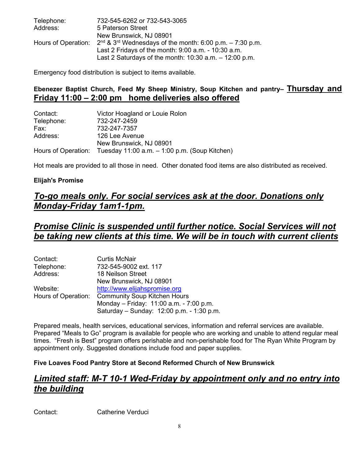| Telephone: | 732-545-6262 or 732-543-3065                                                           |
|------------|----------------------------------------------------------------------------------------|
| Address:   | 5 Paterson Street                                                                      |
|            | New Brunswick, NJ 08901                                                                |
|            | Hours of Operation: $2^{nd}$ & $3^{rd}$ Wednesdays of the month: 6:00 p.m. – 7:30 p.m. |
|            | Last 2 Fridays of the month: $9:00$ a.m. - $10:30$ a.m.                                |
|            | Last 2 Saturdays of the month: $10:30$ a.m. $-12:00$ p.m.                              |

Emergency food distribution is subject to items available.

## **Ebenezer Baptist Church, Feed My Sheep Ministry, Soup Kitchen and pantry– Thursday and Friday 11:00 – 2:00 pm home deliveries also offered**

| Contact:   | Victor Hoagland or Louie Rolon                                    |
|------------|-------------------------------------------------------------------|
| Telephone: | 732-247-2459                                                      |
| Fax:       | 732-247-7357                                                      |
| Address:   | 126 Lee Avenue                                                    |
|            | New Brunswick, NJ 08901                                           |
|            | Hours of Operation: Tuesday 11:00 a.m. - 1:00 p.m. (Soup Kitchen) |

Hot meals are provided to all those in need. Other donated food items are also distributed as received.

### **Elijah's Promise**

# *To-go meals only. For social services ask at the door. Donations only Monday-Friday 1am1-1pm.*

## *Promise Clinic is suspended until further notice. Social Services will not be taking new clients at this time. We will be in touch with current clients*

| Contact:            | <b>Curtis McNair</b>                      |
|---------------------|-------------------------------------------|
| Telephone:          | 732-545-9002 ext. 117                     |
| Address:            | 18 Neilson Street                         |
|                     | New Brunswick, NJ 08901                   |
| Website:            | http://www.elijahspromise.org             |
| Hours of Operation: | <b>Community Soup Kitchen Hours</b>       |
|                     | Monday - Friday: 11:00 a.m. - 7:00 p.m.   |
|                     | Saturday - Sunday: 12:00 p.m. - 1:30 p.m. |

Prepared meals, health services, educational services, information and referral services are available. Prepared "Meals to Go" program is available for people who are working and unable to attend regular meal times. "Fresh is Best" program offers perishable and non-perishable food for The Ryan White Program by appointment only. Suggested donations include food and paper supplies.

### **Five Loaves Food Pantry Store at Second Reformed Church of New Brunswick**

# *Limited staff: M-T 10-1 Wed-Friday by appointment only and no entry into the building*

Contact: Catherine Verduci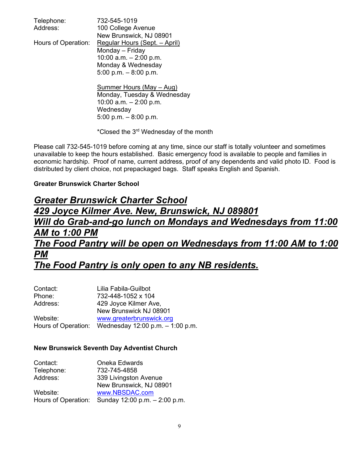| Telephone:          | 732-545-1019                  |
|---------------------|-------------------------------|
| Address:            | 100 College Avenue            |
|                     | New Brunswick, NJ 08901       |
| Hours of Operation: | Regular Hours (Sept. - April) |

Monday – Friday 10:00 a.m. – 2:00 p.m. Monday & Wednesday 5:00 p.m. – 8:00 p.m.

Summer Hours (May – Aug) Monday, Tuesday & Wednesday 10:00 a.m. – 2:00 p.m. **Wednesday** 5:00 p.m. – 8:00 p.m.

\*Closed the 3rd Wednesday of the month

Please call 732-545-1019 before coming at any time, since our staff is totally volunteer and sometimes unavailable to keep the hours established. Basic emergency food is available to people and families in economic hardship. Proof of name, current address, proof of any dependents and valid photo ID. Food is distributed by client choice, not prepackaged bags. Staff speaks English and Spanish.

## **Greater Brunswick Charter School**

# *Greater Brunswick Charter School 429 Joyce Kilmer Ave. New, Brunswick, NJ 089801 Will do Grab-and-go lunch on Mondays and Wednesdays from 11:00 AM to 1:00 PM The Food Pantry will be open on Wednesdays from 11:00 AM to 1:00 PM The Food Pantry is only open to any NB residents.*

| Contact: | Lilia Fabila-Guilbot                                    |
|----------|---------------------------------------------------------|
| Phone:   | 732-448-1052 x 104                                      |
| Address: | 429 Joyce Kilmer Ave,                                   |
|          | New Brunswick NJ 08901                                  |
| Website: | www.greaterbrunswick.org                                |
|          | Hours of Operation: Wednesday $12:00$ p.m. $-1:00$ p.m. |

### **New Brunswick Seventh Day Adventist Church**

| Contact:   | Oneka Edwards                                        |
|------------|------------------------------------------------------|
| Telephone: | 732-745-4858                                         |
| Address:   | 339 Livingston Avenue                                |
|            | New Brunswick, NJ 08901                              |
| Website:   | www.NBSDAC.com                                       |
|            | Hours of Operation: Sunday $12:00$ p.m. $-2:00$ p.m. |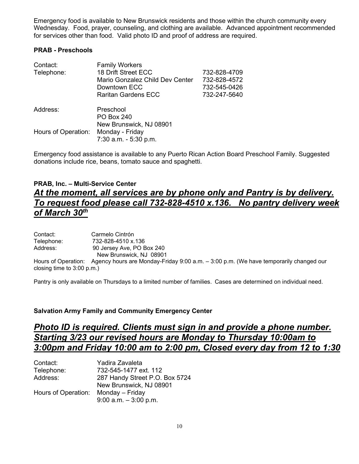Emergency food is available to New Brunswick residents and those within the church community every Wednesday. Food, prayer, counseling, and clothing are available. Advanced appointment recommended for services other than food. Valid photo ID and proof of address are required.

### **PRAB - Preschools**

| Contact:<br>Telephone: | <b>Family Workers</b><br>18 Drift Street ECC<br>Mario Gonzalez Child Dev Center<br>Downtown ECC<br><b>Raritan Gardens ECC</b> | 732-828-4709<br>732-828-4572<br>732-545-0426<br>732-247-5640 |
|------------------------|-------------------------------------------------------------------------------------------------------------------------------|--------------------------------------------------------------|
| Address:               | Preschool<br><b>PO Box 240</b>                                                                                                |                                                              |
| Hours of Operation:    | New Brunswick, NJ 08901<br>Monday - Friday<br>7:30 a.m. - 5:30 p.m.                                                           |                                                              |

Emergency food assistance is available to any Puerto Rican Action Board Preschool Family. Suggested donations include rice, beans, tomato sauce and spaghetti.

## **PRAB, Inc. – Multi-Service Center** *At the moment, all services are by phone only and Pantry is by delivery. To request food please call 732-828-4510 x.136. No pantry delivery week of March 30th*

| Contact:   | Carmelo Cintrón           |
|------------|---------------------------|
| Telephone: | 732-828-4510 x.136        |
| Address:   | 90 Jersey Ave, PO Box 240 |
|            | New Brunswick, NJ 08901   |

Hours of Operation: Agency hours are Monday-Friday 9:00 a.m. – 3:00 p.m. (We have temporarily changed our closing time to 3:00 p.m.)

Pantry is only available on Thursdays to a limited number of families. Cases are determined on individual need.

### **Salvation Army Family and Community Emergency Center**

# *Photo ID is required. Clients must sign in and provide a phone number. Starting 3/23 our revised hours are Monday to Thursday 10:00am to 3:00pm and Friday 10:00 am to 2:00 pm, Closed every day from 12 to 1:30*

| Contact:            | Yadira Zavaleta                |
|---------------------|--------------------------------|
| Telephone:          | 732-545-1477 ext. 112          |
| Address:            | 287 Handy Street P.O. Box 5724 |
|                     | New Brunswick, NJ 08901        |
| Hours of Operation: | Monday – Friday                |
|                     | $9:00$ a.m. $-3:00$ p.m.       |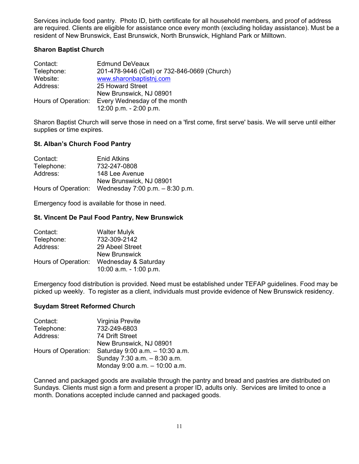Services include food pantry. Photo ID, birth certificate for all household members, and proof of address are required. Clients are eligible for assistance once every month (excluding holiday assistance). Must be a resident of New Brunswick, East Brunswick, North Brunswick, Highland Park or Milltown.

### **Sharon Baptist Church**

| Contact:   | <b>Edmund DeVeaux</b>                            |
|------------|--------------------------------------------------|
| Telephone: | 201-478-9446 (Cell) or 732-846-0669 (Church)     |
| Website:   | www.sharonbaptistnj.com                          |
| Address:   | 25 Howard Street                                 |
|            | New Brunswick, NJ 08901                          |
|            | Hours of Operation: Every Wednesday of the month |
|            | 12:00 p.m. - 2:00 p.m.                           |

Sharon Baptist Church will serve those in need on a 'first come, first serve' basis. We will serve until either supplies or time expires.

### **St. Alban's Church Food Pantry**

| Contact:   | Enid Atkins                                            |
|------------|--------------------------------------------------------|
| Telephone: | 732-247-0808                                           |
| Address:   | 148 Lee Avenue                                         |
|            | New Brunswick, NJ 08901                                |
|            | Hours of Operation: Wednesday $7:00$ p.m. $-8:30$ p.m. |

Emergency food is available for those in need.

#### **St. Vincent De Paul Food Pantry, New Brunswick**

| Contact:            | <b>Walter Mulyk</b>    |
|---------------------|------------------------|
| Telephone:          | 732-309-2142           |
| Address:            | 29 Abeel Street        |
|                     | <b>New Brunswick</b>   |
| Hours of Operation: | Wednesday & Saturday   |
|                     | 10:00 a.m. - 1:00 p.m. |

Emergency food distribution is provided. Need must be established under TEFAP guidelines. Food may be picked up weekly. To register as a client, individuals must provide evidence of New Brunswick residency.

#### **Suydam Street Reformed Church**

| Virginia Previte                |
|---------------------------------|
| 732-249-6803                    |
| 74 Drift Street                 |
| New Brunswick, NJ 08901         |
| Saturday 9:00 a.m. - 10:30 a.m. |
| Sunday 7:30 a.m. - 8:30 a.m.    |
| Monday 9:00 a.m. - 10:00 a.m.   |
|                                 |

Canned and packaged goods are available through the pantry and bread and pastries are distributed on Sundays. Clients must sign a form and present a proper ID, adults only. Services are limited to once a month. Donations accepted include canned and packaged goods.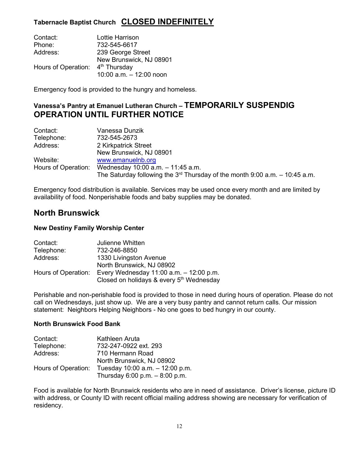## **Tabernacle Baptist Church CLOSED INDEFINITELY**

| Contact:            | Lottie Harrison           |
|---------------------|---------------------------|
| Phone:              | 732-545-6617              |
| Address:            | 239 George Street         |
|                     | New Brunswick, NJ 08901   |
| Hours of Operation: | 4 <sup>th</sup> Thursday  |
|                     | 10:00 $a.m. - 12:00$ noon |

Emergency food is provided to the hungry and homeless.

## **Vanessa's Pantry at Emanuel Lutheran Church – TEMPORARILY SUSPENDIG OPERATION UNTIL FURTHER NOTICE**

| Contact:            | Vanessa Dunzik                                                                            |
|---------------------|-------------------------------------------------------------------------------------------|
| Telephone:          | 732-545-2673                                                                              |
| Address:            | 2 Kirkpatrick Street                                                                      |
|                     | New Brunswick, NJ 08901                                                                   |
| Website:            | www.emanuelnb.org                                                                         |
| Hours of Operation: | Wednesday 10:00 a.m. - 11:45 a.m.                                                         |
|                     | The Saturday following the 3 <sup>rd</sup> Thursday of the month 9:00 a.m. $-$ 10:45 a.m. |

Emergency food distribution is available. Services may be used once every month and are limited by availability of food. Nonperishable foods and baby supplies may be donated.

## **North Brunswick**

### **New Destiny Family Worship Center**

| Contact:            | Julienne Whitten                                     |
|---------------------|------------------------------------------------------|
| Telephone:          | 732-246-8850                                         |
| Address:            | 1330 Livingston Avenue                               |
|                     | North Brunswick, NJ 08902                            |
| Hours of Operation: | Every Wednesday $11:00$ a.m. $-12:00$ p.m.           |
|                     | Closed on holidays & every 5 <sup>th</sup> Wednesday |

Perishable and non-perishable food is provided to those in need during hours of operation. Please do not call on Wednesdays, just show up. We are a very busy pantry and cannot return calls. Our mission statement: Neighbors Helping Neighbors - No one goes to bed hungry in our county.

### **North Brunswick Food Bank**

| Contact:            | Kathleen Aruta                    |
|---------------------|-----------------------------------|
| Telephone:          | 732-247-0922 ext. 293             |
| Address:            | 710 Hermann Road                  |
|                     | North Brunswick, NJ 08902         |
| Hours of Operation: | Tuesday 10:00 a.m. - 12:00 p.m.   |
|                     | Thursday $6:00$ p.m. $-8:00$ p.m. |

Food is available for North Brunswick residents who are in need of assistance. Driver's license, picture ID with address, or County ID with recent official mailing address showing are necessary for verification of residency.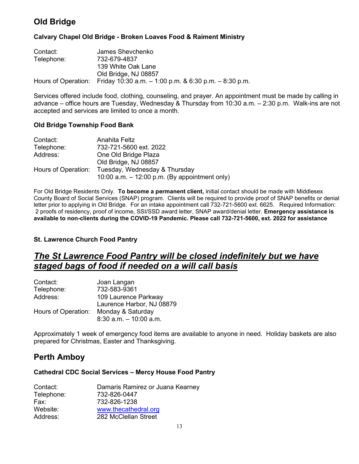# **Old Bridge**

### **Calvary Chapel Old Bridge - Broken Loaves Food & Raiment Ministry**

| Contact:   | James Shevchenko                                                              |
|------------|-------------------------------------------------------------------------------|
| Telephone: | 732-679-4837                                                                  |
|            | 139 White Oak Lane                                                            |
|            | Old Bridge, NJ 08857                                                          |
|            | Hours of Operation: Friday 10:30 a.m. $-$ 1:00 p.m. & 6:30 p.m. $-$ 8:30 p.m. |

Services offered include food, clothing, counseling, and prayer. An appointment must be made by calling in advance – office hours are Tuesday, Wednesday & Thursday from 10:30 a.m. – 2:30 p.m. Walk-ins are not accepted and services are limited to once a month.

### **Old Bridge Township Food Bank**

| Contact:            | Anahita Feltz                                   |
|---------------------|-------------------------------------------------|
| Telephone:          | 732-721-5600 ext. 2022                          |
| Address:            | One Old Bridge Plaza                            |
|                     | Old Bridge, NJ 08857                            |
| Hours of Operation: | Tuesday, Wednesday & Thursday                   |
|                     | 10:00 a.m. $-$ 12:00 p.m. (By appointment only) |

For Old Bridge Residents Only. **To become a permanent client,** initial contact should be made with Middlesex County Board of Social Services (SNAP) program. Clients will be required to provide proof of SNAP benefits or denial letter prior to applying in Old Bridge. For an intake appointment call 732-721-5600 ext. 6625. Required Information: 2 proofs of residency, proof of income, SSI/SSD award letter, SNAP award/denial letter. **Emergency assistance is available to non-clients during the COVID-19 Pandemic. Please call 732-721-5600, ext. 2022 for assistance**

### **St. Lawrence Church Food Pantry**

# *The St Lawrence Food Pantry will be closed indefinitely but we have staged bags of food if needed on a will call basis*

| Contact:            | Joan Langan               |
|---------------------|---------------------------|
| Telephone:          | 732-583-9361              |
| Address:            | 109 Laurence Parkway      |
|                     | Laurence Harbor, NJ 08879 |
| Hours of Operation: | Monday & Saturday         |
|                     | $8:30$ a.m. $-10:00$ a.m. |

Approximately 1 week of emergency food items are available to anyone in need. Holiday baskets are also prepared for Christmas, Easter and Thanksgiving.

# **Perth Amboy**

### **Cathedral CDC Social Services – Mercy House Food Pantry**

| Contact:   | Damaris Ramirez or Juana Kearney |
|------------|----------------------------------|
| Telephone: | 732-826-0447                     |
| Fax:       | 732-826-1238                     |
| Website:   | www.thecathedral.org             |
| Address:   | 282 McClellan Street             |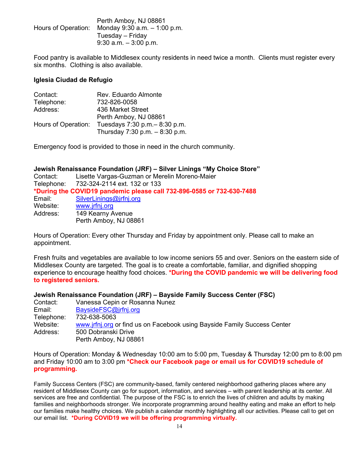|                     | Perth Amboy, NJ 08861          |
|---------------------|--------------------------------|
| Hours of Operation: | Monday 9:30 a.m. $-$ 1:00 p.m. |
|                     | Tuesday – Friday               |
|                     | $9:30$ a.m. $-3:00$ p.m.       |

Food pantry is available to Middlesex county residents in need twice a month. Clients must register every six months. Clothing is also available.

#### **Iglesia Ciudad de Refugio**

| Contact:            | Rev. Eduardo Almonte            |
|---------------------|---------------------------------|
| Telephone:          | 732-826-0058                    |
| Address:            | 436 Market Street               |
|                     | Perth Amboy, NJ 08861           |
| Hours of Operation: | Tuesdays 7:30 p.m. - 8:30 p.m.  |
|                     | Thursday 7:30 p.m. $-8:30$ p.m. |

Emergency food is provided to those in need in the church community.

#### **Jewish Renaissance Foundation (JRF) – Silver Linings "My Choice Store"**

| Contact: | Lisette Vargas-Guzman or Merelin Moreno-Maier                         |
|----------|-----------------------------------------------------------------------|
|          | Telephone: 732-324-2114 ext. 132 or 133                               |
|          | *During the COVID19 pandemic please call 732-896-0585 or 732-630-7488 |
| Email:   | SilverLinings@jrfnj.org                                               |
| Website: | www.jrfnj.org                                                         |
| Address: | 149 Kearny Avenue                                                     |
|          | Perth Amboy, NJ 08861                                                 |

Hours of Operation: Every other Thursday and Friday by appointment only. Please call to make an appointment.

Fresh fruits and vegetables are available to low income seniors 55 and over. Seniors on the eastern side of Middlesex County are targeted. The goal is to create a comfortable, familiar, and dignified shopping experience to encourage healthy food choices. **\*During the COVID pandemic we will be delivering food to registered seniors.**

#### **Jewish Renaissance Foundation (JRF) – Bayside Family Success Center (FSC)**

| Contact:   | Vanessa Cepin or Rosanna Nunez                                           |
|------------|--------------------------------------------------------------------------|
| Email:     | BaysideFSC@jrfnj.org                                                     |
| Telephone: | 732-638-5063                                                             |
| Website:   | www.jrfnj.org or find us on Facebook using Bayside Family Success Center |
| Address:   | 500 Dobranski Drive                                                      |
|            | Perth Amboy, NJ 08861                                                    |

Hours of Operation: Monday & Wednesday 10:00 am to 5:00 pm, Tuesday & Thursday 12:00 pm to 8:00 pm and Friday 10:00 am to 3:00 pm **\*Check our Facebook page or email us for COVID19 schedule of programming.**

Family Success Centers (FSC) are community-based, family centered neighborhood gathering places where any resident of Middlesex County can go for support, information, and services – with parent leadership at its center. All services are free and confidential. The purpose of the FSC is to enrich the lives of children and adults by making families and neighborhoods stronger. We incorporate programming around healthy eating and make an effort to help our families make healthy choices. We publish a calendar monthly highlighting all our activities. Please call to get on our email list. **\*During COVID19 we will be offering programming virtually.**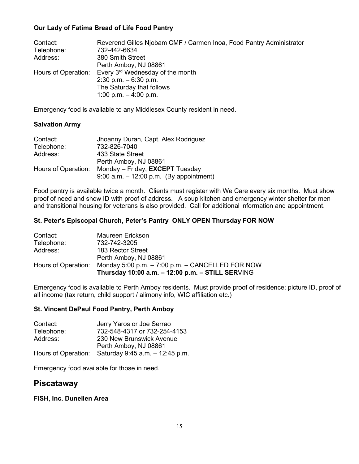### **Our Lady of Fatima Bread of Life Food Pantry**

| Contact:            | Reverend Gilles Njobam CMF / Carmen Inoa, Food Pantry Administrator |
|---------------------|---------------------------------------------------------------------|
| Telephone:          | 732-442-6634                                                        |
| Address:            | 380 Smith Street                                                    |
|                     | Perth Amboy, NJ 08861                                               |
| Hours of Operation: | Every 3rd Wednesday of the month                                    |
|                     | $2:30$ p.m. $-6:30$ p.m.                                            |
|                     | The Saturday that follows                                           |
|                     | 1:00 p.m. $-$ 4:00 p.m.                                             |

Emergency food is available to any Middlesex County resident in need.

### **Salvation Army**

| Contact:            | Jhoanny Duran, Capt. Alex Rodriguez       |
|---------------------|-------------------------------------------|
| Telephone:          | 732-826-7040                              |
| Address:            | 433 State Street                          |
|                     | Perth Amboy, NJ 08861                     |
| Hours of Operation: | Monday - Friday, <b>EXCEPT</b> Tuesday    |
|                     | 9:00 a.m. $-$ 12:00 p.m. (By appointment) |

Food pantry is available twice a month. Clients must register with We Care every six months. Must show proof of need and show ID with proof of address. A soup kitchen and emergency winter shelter for men and transitional housing for veterans is also provided. Call for additional information and appointment.

### **St. Peter's Episcopal Church, Peter's Pantry ONLY OPEN Thursday FOR NOW**

| Contact:            | Maureen Erickson                                 |
|---------------------|--------------------------------------------------|
| Telephone:          | 732-742-3205                                     |
| Address:            | 183 Rector Street                                |
|                     | Perth Amboy, NJ 08861                            |
| Hours of Operation: | Monday 5:00 p.m. - 7:00 p.m. - CANCELLED FOR NOW |
|                     | Thursday 10:00 a.m. - 12:00 p.m. - STILL SERVING |

Emergency food is available to Perth Amboy residents. Must provide proof of residence; picture ID, proof of all income (tax return, child support / alimony info, WIC affiliation etc.)

### **St. Vincent DePaul Food Pantry, Perth Amboy**

| Contact:   | Jerry Yaros or Joe Serrao                              |
|------------|--------------------------------------------------------|
| Telephone: | 732-548-4317 or 732-254-4153                           |
| Address:   | 230 New Brunswick Avenue                               |
|            | Perth Amboy, NJ 08861                                  |
|            | Hours of Operation: Saturday $9:45$ a.m. $-12:45$ p.m. |

Emergency food available for those in need.

## **Piscataway**

### **FISH, Inc. Dunellen Area**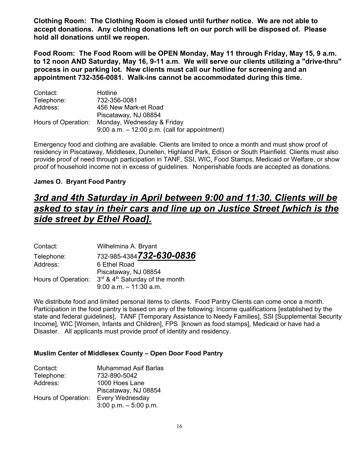**Clothing Room: The Clothing Room is closed until further notice. We are not able to accept donations. Any clothing donations left on our porch will be disposed of. Please hold all donations until we reopen.**

**Food Room: The Food Room will be OPEN Monday, May 11 through Friday, May 15, 9 a.m. to 12 noon AND Saturday, May 16, 9-11 a.m. We will serve our clients utilizing a "drive-thru" process in our parking lot. New clients must call our hotline for screening and an appointment 732-356-0081. Walk-ins cannot be accommodated during this time.**

| Contact:            | Hotline                                          |
|---------------------|--------------------------------------------------|
| Telephone:          | 732-356-0081                                     |
| Address:            | 456 New Mark-et Road                             |
|                     | Piscataway, NJ 08854                             |
| Hours of Operation: | Monday, Wednesday & Friday                       |
|                     | $9:00$ a.m. $-12:00$ p.m. (call for appointment) |

Emergency food and clothing are available. Clients are limited to once a month and must show proof of residency in Piscataway, Middlesex, Dunellen, Highland Park, Edison or South Plainfield. Clients must also provide proof of need through participation in TANF, SSI, WIC, Food Stamps, Medicaid or Welfare, or show proof of household income not in excess of guidelines. Nonperishable foods are accepted as donations.

### **James O. Bryant Food Pantry**

# *3rd and 4th Saturday in April between 9:00 and 11:30. Clients will be asked to stay in their cars and line up on Justice Street [which is the side street by Ethel Road].*

| Contact:            | Wilhelmina A. Bryant            |
|---------------------|---------------------------------|
| Telephone:          | 732-985-4384732-630-0836        |
| Address:            | 6 Ethel Road                    |
|                     | Piscataway, NJ 08854            |
| Hours of Operation: | 3rd & 4th Saturday of the month |
|                     | $9:00$ a.m. $-11:30$ a.m.       |

We distribute food and limited personal items to clients. Food Pantry Clients can come once a month. Participation in the food pantry is based on any of the following: Income qualifications [established by the state and federal guidelines], TANF [Temporary Assistance to Needy Families], SSI [Supplemental Security Income], WIC [Women, Infants and Children], FPS [known as food stamps], Medicaid or have had a Disaster. All applicants must provide proof of identity and residency.

#### **Muslim Center of Middlesex County – Open Door Food Pantry**

| Contact:            | <b>Muhammad Asif Barlas</b> |
|---------------------|-----------------------------|
| Telephone:          | 732-890-5042                |
| Address:            | 1000 Hoes Lane              |
|                     | Piscataway, NJ 08854        |
| Hours of Operation: | Every Wednesday             |
|                     | 3:00 p.m. $-5:00$ p.m.      |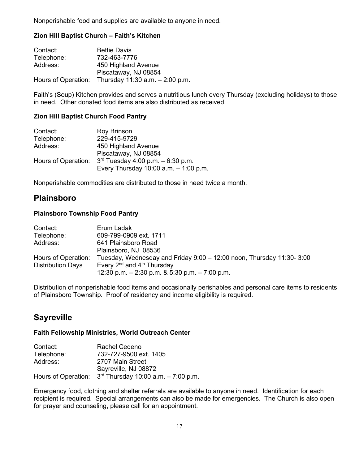Nonperishable food and supplies are available to anyone in need.

### **Zion Hill Baptist Church – Faith's Kitchen**

| Contact:   | <b>Bettie Davis</b>                                    |
|------------|--------------------------------------------------------|
| Telephone: | 732-463-7776                                           |
| Address:   | 450 Highland Avenue                                    |
|            | Piscataway, NJ 08854                                   |
|            | Hours of Operation: Thursday $11:30$ a.m. $-2:00$ p.m. |

Faith's (Soup) Kitchen provides and serves a nutritious lunch every Thursday (excluding holidays) to those in need. Other donated food items are also distributed as received.

### **Zion Hill Baptist Church Food Pantry**

| Contact:   | Roy Brinson                                                 |
|------------|-------------------------------------------------------------|
| Telephone: | 229-415-9729                                                |
| Address:   | 450 Highland Avenue                                         |
|            | Piscataway, NJ 08854                                        |
|            | Hours of Operation: $3^{rd}$ Tuesday 4:00 p.m. $-6:30$ p.m. |
|            | Every Thursday $10:00$ a.m. $-1:00$ p.m.                    |

Nonperishable commodities are distributed to those in need twice a month.

## **Plainsboro**

### **Plainsboro Township Food Pantry**

| Contact:                 | Erum Ladak                                                              |
|--------------------------|-------------------------------------------------------------------------|
| Telephone:               | 609-799-0909 ext. 1711                                                  |
| Address:                 | 641 Plainsboro Road                                                     |
|                          | Plainsboro, NJ 08536                                                    |
| Hours of Operation:      | Tuesday, Wednesday and Friday $9:00 - 12:00$ noon, Thursday 11:30- 3:00 |
| <b>Distribution Days</b> | Every $2^{nd}$ and $4^{th}$ Thursday                                    |
|                          | 12:30 p.m. $-$ 2:30 p.m. & 5:30 p.m. $-$ 7:00 p.m.                      |

Distribution of nonperishable food items and occasionally perishables and personal care items to residents of Plainsboro Township. Proof of residency and income eligibility is required.

# **Sayreville**

#### **Faith Fellowship Ministries, World Outreach Center**

| Contact:   | Rachel Cedeno                                              |
|------------|------------------------------------------------------------|
| Telephone: | 732-727-9500 ext. 1405                                     |
| Address:   | 2707 Main Street                                           |
|            | Sayreville, NJ 08872                                       |
|            | Hours of Operation: $3rd$ Thursday 10:00 a.m. $-7:00$ p.m. |

Emergency food, clothing and shelter referrals are available to anyone in need. Identification for each recipient is required. Special arrangements can also be made for emergencies. The Church is also open for prayer and counseling, please call for an appointment.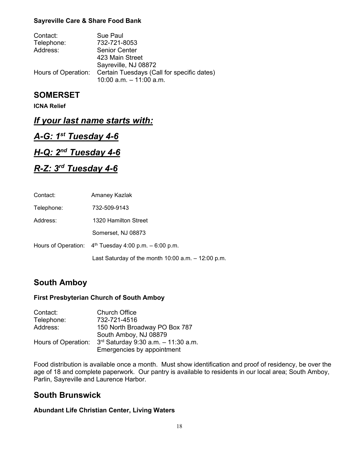### **Sayreville Care & Share Food Bank**

| Contact:   | Sue Paul                                                       |
|------------|----------------------------------------------------------------|
| Telephone: | 732-721-8053                                                   |
| Address:   | <b>Senior Center</b>                                           |
|            | 423 Main Street                                                |
|            | Sayreville, NJ 08872                                           |
|            | Hours of Operation: Certain Tuesdays (Call for specific dates) |
|            | 10:00 a.m. $-$ 11:00 a.m.                                      |

## **SOMERSET**

**ICNA Relief**

## *If your last name starts with:*

# *A-G: 1st Tuesday 4-6*

## *H-Q: 2nd Tuesday 4-6*

# *R-Z: 3rd Tuesday 4-6*

| Contact:   | Amaney Kazlak                                            |
|------------|----------------------------------------------------------|
| Telephone: | 732-509-9143                                             |
| Address:   | 1320 Hamilton Street                                     |
|            | Somerset, NJ 08873                                       |
|            | Hours of Operation: $4th$ Tuesday 4:00 p.m. $-6:00$ p.m. |
|            | Last Saturday of the month $10:00$ a.m. $-12:00$ p.m.    |

# **South Amboy**

### **First Presbyterian Church of South Amboy**

| Contact:            | <b>Church Office</b>                     |
|---------------------|------------------------------------------|
| Telephone:          | 732-721-4516                             |
| Address:            | 150 North Broadway PO Box 787            |
|                     | South Amboy, NJ 08879                    |
| Hours of Operation: | $3^{rd}$ Saturday 9:30 a.m. - 11:30 a.m. |
|                     | Emergencies by appointment               |

Food distribution is available once a month. Must show identification and proof of residency, be over the age of 18 and complete paperwork. Our pantry is available to residents in our local area; South Amboy, Parlin, Sayreville and Laurence Harbor.

## **South Brunswick**

#### **Abundant Life Christian Center, Living Waters**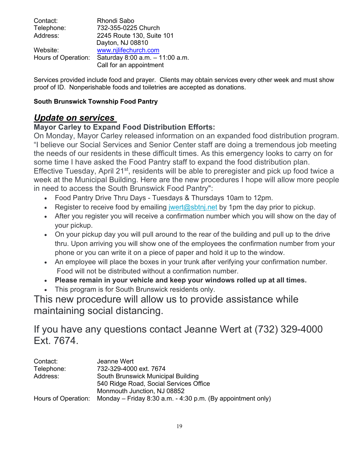| Contact:            | Rhondi Sabo                     |
|---------------------|---------------------------------|
| Telephone:          | 732-355-0225 Church             |
| Address:            | 2245 Route 130, Suite 101       |
|                     | Dayton, NJ 08810                |
| Website:            | www.njlifechurch.com            |
| Hours of Operation: | Saturday 8:00 a.m. - 11:00 a.m. |
|                     | Call for an appointment         |

Services provided include food and prayer. Clients may obtain services every other week and must show proof of ID. Nonperishable foods and toiletries are accepted as donations.

## **South Brunswick Township Food Pantry**

# *Update on services*

## **Mayor Carley to Expand Food Distribution Efforts:**

On Monday, Mayor Carley released information on an expanded food distribution program. "I believe our Social Services and Senior Center staff are doing a tremendous job meeting the needs of our residents in these difficult times. As this emergency looks to carry on for some time I have asked the Food Pantry staff to expand the food distribution plan. Effective Tuesday, April 21<sup>st</sup>, residents will be able to preregister and pick up food twice a week at the Municipal Building. Here are the new procedures I hope will allow more people in need to access the South Brunswick Food Pantry":

- Food Pantry Drive Thru Days Tuesdays & Thursdays 10am to 12pm.
- Register to receive food by emailing [jwert@sbtnj.net](mailto:jwert@sbtnj.net) by 1pm the day prior to pickup.
- After you register you will receive a confirmation number which you will show on the day of your pickup.
- On your pickup day you will pull around to the rear of the building and pull up to the drive thru. Upon arriving you will show one of the employees the confirmation number from your phone or you can write it on a piece of paper and hold it up to the window.
- An employee will place the boxes in your trunk after verifying your confirmation number. Food will not be distributed without a confirmation number.
- **Please remain in your vehicle and keep your windows rolled up at all times.**
- This program is for South Brunswick residents only.

This new procedure will allow us to provide assistance while maintaining social distancing.

If you have any questions contact Jeanne Wert at (732) 329-4000 Ext. 7674.

| Contact:   | Jeanne Wert                                                                       |
|------------|-----------------------------------------------------------------------------------|
| Telephone: | 732-329-4000 ext. 7674                                                            |
| Address:   | South Brunswick Municipal Building                                                |
|            | 540 Ridge Road, Social Services Office                                            |
|            | Monmouth Junction, NJ 08852                                                       |
|            | Hours of Operation: Monday – Friday 8:30 a.m. $-$ 4:30 p.m. (By appointment only) |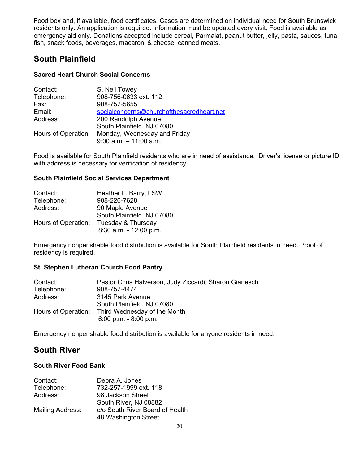Food box and, if available, food certificates. Cases are determined on individual need for South Brunswick residents only. An application is required. Information must be updated every visit. Food is available as emergency aid only. Donations accepted include cereal, Parmalat, peanut butter, jelly, pasta, sauces, tuna fish, snack foods, beverages, macaroni & cheese, canned meats.

# **South Plainfield**

### **Sacred Heart Church Social Concerns**

| Contact:            | S. Neil Towey                                             |
|---------------------|-----------------------------------------------------------|
| Telephone:          | 908-756-0633 ext. 112                                     |
| Fax:                | 908-757-5655                                              |
| Email:              | socialconcerns@churchofthesacredheart.net                 |
| Address:            | 200 Randolph Avenue                                       |
|                     | South Plainfield, NJ 07080                                |
| Hours of Operation: | Monday, Wednesday and Friday<br>$9:00$ a.m. $-11:00$ a.m. |

Food is available for South Plainfield residents who are in need of assistance. Driver's license or picture ID with address is necessary for verification of residency.

### **South Plainfield Social Services Department**

| Contact:            | Heather L. Barry, LSW      |
|---------------------|----------------------------|
| Telephone:          | 908-226-7628               |
| Address:            | 90 Maple Avenue            |
|                     | South Plainfield, NJ 07080 |
| Hours of Operation: | Tuesday & Thursday         |
|                     | 8:30 a.m. - 12:00 p.m.     |

Emergency nonperishable food distribution is available for South Plainfield residents in need. Proof of residency is required.

## **St. Stephen Lutheran Church Food Pantry**

| Contact:            | Pastor Chris Halverson, Judy Ziccardi, Sharon Gianeschi |
|---------------------|---------------------------------------------------------|
| Telephone:          | 908-757-4474                                            |
| Address:            | 3145 Park Avenue                                        |
|                     | South Plainfield, NJ 07080                              |
| Hours of Operation: | Third Wednesday of the Month                            |
|                     | $6:00$ p.m. $-8:00$ p.m.                                |

Emergency nonperishable food distribution is available for anyone residents in need.

# **South River**

### **South River Food Bank**

| Contact:         | Debra A. Jones                  |
|------------------|---------------------------------|
| Telephone:       | 732-257-1999 ext. 118           |
| Address:         | 98 Jackson Street               |
|                  | South River, NJ 08882           |
| Mailing Address: | c/o South River Board of Health |
|                  | 48 Washington Street            |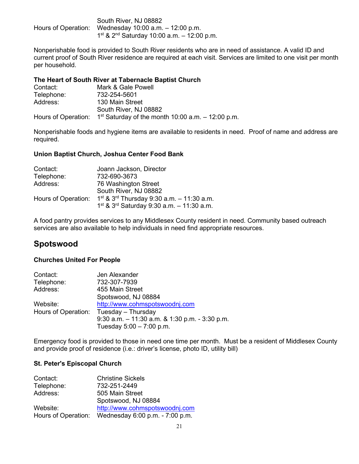| South River, NJ 08882                                       |
|-------------------------------------------------------------|
| Hours of Operation: Wednesday $10:00$ a.m. $-12:00$ p.m.    |
| $1^{st}$ & 2 <sup>nd</sup> Saturday 10:00 a.m. - 12:00 p.m. |

Nonperishable food is provided to South River residents who are in need of assistance. A valid ID and current proof of South River residence are required at each visit. Services are limited to one visit per month per household.

#### **The Heart of South River at Tabernacle Baptist Church**

| Contact:   | Mark & Gale Powell                                                        |
|------------|---------------------------------------------------------------------------|
| Telephone: | 732-254-5601                                                              |
| Address:   | 130 Main Street                                                           |
|            | South River, NJ 08882                                                     |
|            | Hours of Operation: $1st$ Saturday of the month 10:00 a.m. $-$ 12:00 p.m. |

Nonperishable foods and hygiene items are available to residents in need. Proof of name and address are required.

### **Union Baptist Church, Joshua Center Food Bank**

| Contact:            | Joann Jackson, Director                             |
|---------------------|-----------------------------------------------------|
| Telephone:          | 732-690-3673                                        |
| Address:            | 76 Washington Street                                |
|                     | South River, NJ 08882                               |
| Hours of Operation: | $1^{st}$ & $3^{rd}$ Thursday 9:30 a.m. - 11:30 a.m. |
|                     | $1^{st}$ & $3^{rd}$ Saturday 9:30 a.m. - 11:30 a.m. |

A food pantry provides services to any Middlesex County resident in need. Community based outreach services are also available to help individuals in need find appropriate resources.

# **Spotswood**

#### **Churches United For People**

| Contact:   | Jen Alexander                                    |
|------------|--------------------------------------------------|
| Telephone: | 732-307-7939                                     |
| Address:   | 455 Main Street                                  |
|            | Spotswood, NJ 08884                              |
| Website:   | http://www.cohmspotswoodnj.com                   |
|            | Hours of Operation: Tuesday – Thursday           |
|            | 9:30 a.m. $-11:30$ a.m. & 1:30 p.m. $-3:30$ p.m. |
|            | Tuesday $5:00 - 7:00$ p.m.                       |

Emergency food is provided to those in need one time per month. Must be a resident of Middlesex County and provide proof of residence (i.e.: driver's license, photo ID, utility bill)

#### **St. Peter's Episcopal Church**

| Contact:            | <b>Christine Sickels</b>        |
|---------------------|---------------------------------|
| Telephone:          | 732-251-2449                    |
| Address:            | 505 Main Street                 |
|                     | Spotswood, NJ 08884             |
| Website:            | http://www.cohmspotswoodnj.com  |
| Hours of Operation: | Wednesday 6:00 p.m. - 7:00 p.m. |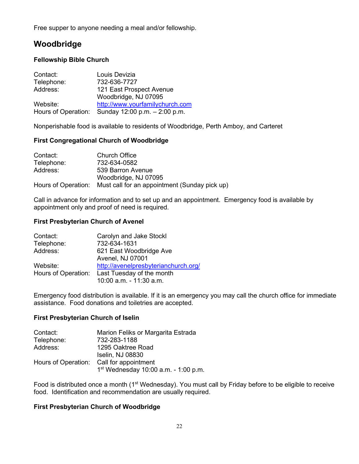Free supper to anyone needing a meal and/or fellowship.

# **Woodbridge**

### **Fellowship Bible Church**

| Contact:   | Louis Devizia                                     |
|------------|---------------------------------------------------|
| Telephone: | 732-636-7727                                      |
| Address:   | 121 East Prospect Avenue                          |
|            | Woodbridge, NJ 07095                              |
| Website:   | http://www.yourfamilychurch.com                   |
|            | Hours of Operation: Sunday 12:00 p.m. - 2:00 p.m. |

Nonperishable food is available to residents of Woodbridge, Perth Amboy, and Carteret

### **First Congregational Church of Woodbridge**

| Contact:   | <b>Church Office</b>                                              |
|------------|-------------------------------------------------------------------|
| Telephone: | 732-634-0582                                                      |
| Address:   | 539 Barron Avenue                                                 |
|            | Woodbridge, NJ 07095                                              |
|            | Hours of Operation: Must call for an appointment (Sunday pick up) |

Call in advance for information and to set up and an appointment. Emergency food is available by appointment only and proof of need is required.

### **First Presbyterian Church of Avenel**

| Contact:   | Carolyn and Jake Stockl                       |
|------------|-----------------------------------------------|
| Telephone: | 732-634-1631                                  |
| Address:   | 621 East Woodbridge Ave                       |
|            | Avenel, NJ 07001                              |
| Website:   | http://avenelpresbyterianchurch.org/          |
|            | Hours of Operation: Last Tuesday of the month |
|            | 10:00 a.m. - 11:30 a.m.                       |

Emergency food distribution is available. If it is an emergency you may call the church office for immediate assistance. Food donations and toiletries are accepted.

### **First Presbyterian Church of Iselin**

| Contact:            | Marion Feliks or Margarita Estrada   |
|---------------------|--------------------------------------|
| Telephone:          | 732-283-1188                         |
| Address:            | 1295 Oaktree Road                    |
|                     | Iselin, NJ 08830                     |
| Hours of Operation: | Call for appointment                 |
|                     | 1st Wednesday 10:00 a.m. - 1:00 p.m. |

Food is distributed once a month (1<sup>st</sup> Wednesday). You must call by Friday before to be eligible to receive food. Identification and recommendation are usually required.

### **First Presbyterian Church of Woodbridge**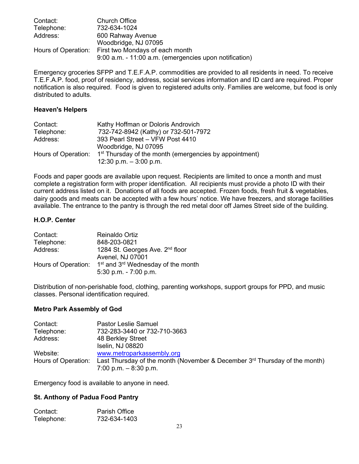| Contact:            | <b>Church Office</b>                                   |
|---------------------|--------------------------------------------------------|
| Telephone:          | 732-634-1024                                           |
| Address:            | 600 Rahway Avenue                                      |
|                     | Woodbridge, NJ 07095                                   |
| Hours of Operation: | First two Mondays of each month                        |
|                     | 9:00 a.m. - 11:00 a.m. (emergencies upon notification) |

Emergency groceries SFPP and T.E.F.A.P. commodities are provided to all residents in need. To receive T.E.F.A.P. food, proof of residency, address, social services information and ID card are required. Proper notification is also required. Food is given to registered adults only. Families are welcome, but food is only distributed to adults.

#### **Heaven's Helpers**

| Contact:            | Kathy Hoffman or Doloris Androvich                                 |
|---------------------|--------------------------------------------------------------------|
| Telephone:          | 732-742-8942 (Kathy) or 732-501-7972                               |
| Address:            | 393 Pearl Street - VFW Post 4410                                   |
|                     | Woodbridge, NJ 07095                                               |
| Hours of Operation: | 1 <sup>st</sup> Thursday of the month (emergencies by appointment) |
|                     | 12:30 p.m. $-3:00$ p.m.                                            |

Foods and paper goods are available upon request. Recipients are limited to once a month and must complete a registration form with proper identification. All recipients must provide a photo ID with their current address listed on it. Donations of all foods are accepted. Frozen foods, fresh fruit & vegetables, dairy goods and meats can be accepted with a few hours' notice. We have freezers, and storage facilities available. The entrance to the pantry is through the red metal door off James Street side of the building.

### **H.O.P. Center**

| Contact:            | <b>Reinaldo Ortiz</b>                                      |
|---------------------|------------------------------------------------------------|
| Telephone:          | 848-203-0821                                               |
| Address:            | 1284 St. Georges Ave. 2 <sup>nd</sup> floor                |
|                     | Avenel, NJ 07001                                           |
| Hours of Operation: | 1 <sup>st</sup> and 3 <sup>rd</sup> Wednesday of the month |
|                     | $5:30$ p.m. $-7:00$ p.m.                                   |

Distribution of non-perishable food, clothing, parenting workshops, support groups for PPD, and music classes. Personal identification required.

### **Metro Park Assembly of God**

| Contact:            | <b>Pastor Leslie Samuel</b>                                                  |
|---------------------|------------------------------------------------------------------------------|
| Telephone:          | 732-283-3440 or 732-710-3663                                                 |
| Address:            | 48 Berkley Street                                                            |
|                     | Iselin, NJ 08820                                                             |
| Website:            | www.metroparkassembly.org                                                    |
| Hours of Operation: | Last Thursday of the month (November & December $3rd$ Thursday of the month) |
|                     | 7:00 p.m. $-8:30$ p.m.                                                       |

Emergency food is available to anyone in need.

#### **St. Anthony of Padua Food Pantry**

| Contact:   | <b>Parish Office</b> |
|------------|----------------------|
| Telephone: | 732-634-1403         |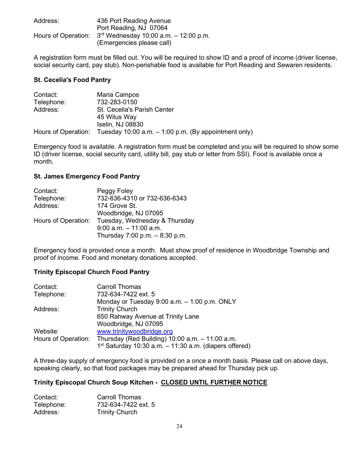| Address: | 436 Port Reading Avenue                                       |
|----------|---------------------------------------------------------------|
|          | Port Reading, NJ 07064                                        |
|          | Hours of Operation: $3rd$ Wednesday 10:00 a.m. $-$ 12:00 p.m. |
|          | (Emergencies please call)                                     |

A registration form must be filled out. You will be required to show ID and a proof of income (driver license, social security card, pay stub). Non-perishable food is available for Port Reading and Sewaren residents.

#### **St. Cecelia's Food Pantry**

| Contact:            | Maria Campos                                           |
|---------------------|--------------------------------------------------------|
| Telephone:          | 732-283-0150                                           |
| Address:            | <b>St. Cecelia's Parish Center</b>                     |
|                     | 45 Wilus Way                                           |
|                     | <b>Iselin, NJ 08830</b>                                |
| Hours of Operation: | Tuesday 10:00 a.m. $-$ 1:00 p.m. (By appointment only) |

Emergency food is available. A registration form must be completed and you will be required to show some ID (driver license, social security card, utility bill, pay stub or letter from SSI). Food is available once a month.

#### **St. James Emergency Food Pantry**

| Contact:            | Peggy Foley                    |
|---------------------|--------------------------------|
| Telephone:          | 732-636-4310 or 732-636-6343   |
| Address:            | 174 Grove St.                  |
|                     | Woodbridge, NJ 07095           |
| Hours of Operation: | Tuesday, Wednesday & Thursday  |
|                     | $9:00$ a.m. $-11:00$ a.m.      |
|                     | Thursday 7:00 p.m. - 8:30 p.m. |

Emergency food is provided once a month. Must show proof of residence in Woodbridge Township and proof of income. Food and monetary donations accepted.

#### **Trinity Episcopal Church Food Pantry**

| Contact:            | <b>Carroll Thomas</b>                                                                                           |
|---------------------|-----------------------------------------------------------------------------------------------------------------|
| Telephone:          | 732-634-7422 ext. 5                                                                                             |
|                     | Monday or Tuesday $9:00$ a.m. $-1:00$ p.m. ONLY                                                                 |
| Address:            | <b>Trinity Church</b>                                                                                           |
|                     | 650 Rahway Avenue at Trinity Lane                                                                               |
|                     | Woodbridge, NJ 07095                                                                                            |
| Website:            | www.trinitywoodbridge.org                                                                                       |
| Hours of Operation: | Thursday (Red Building) $10:00$ a.m. $-11:00$ a.m.<br>$1st$ Saturday 10:30 a.m. $-11:30$ a.m. (diapers offered) |

A three-day supply of emergency food is provided on a once a month basis. Please call on above days, speaking clearly, so that food packages may be prepared ahead for Thursday pick up.

#### **Trinity Episcopal Church Soup Kitchen - CLOSED UNTIL FURTHER NOTICE**

| Contact:   | <b>Carroll Thomas</b> |
|------------|-----------------------|
| Telephone: | 732-634-7422 ext. 5   |
| Address:   | <b>Trinity Church</b> |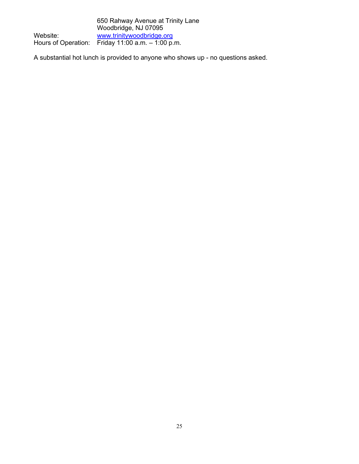|          | 650 Rahway Avenue at Trinity Lane                    |
|----------|------------------------------------------------------|
|          | Woodbridge, NJ 07095                                 |
| Website: | www.trinitywoodbridge.org                            |
|          | Hours of Operation: Friday $11:00$ a.m. $-1:00$ p.m. |

A substantial hot lunch is provided to anyone who shows up - no questions asked.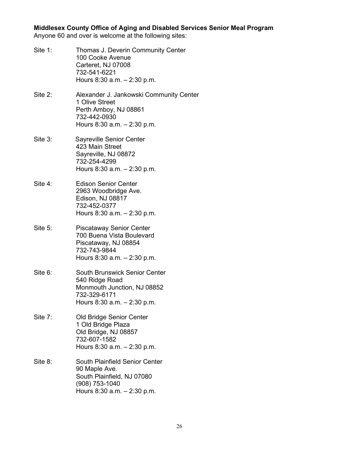**Middlesex County Office of Aging and Disabled Services Senior Meal Program**

Anyone 60 and over is welcome at the following sites:

Site 1: Thomas J. Deverin Community Center 100 Cooke Avenue Carteret, NJ 07008 732-541-6221 Hours 8:30 a.m. – 2:30 p.m. Site 2: Alexander J. Jankowski Community Center 1 Olive Street Perth Amboy, NJ 08861 732-442-0930 Hours 8:30 a.m. – 2:30 p.m. Site 3: Sayreville Senior Center 423 Main Street Sayreville, NJ 08872 732-254-4299 Hours 8:30 a.m. – 2:30 p.m. Site 4: Edison Senior Center 2963 Woodbridge Ave. Edison, NJ 08817 732-452-0377 Hours 8:30 a.m. – 2:30 p.m. Site 5: Piscataway Senior Center 700 Buena Vista Boulevard Piscataway, NJ 08854 732-743-9844 Hours 8:30 a.m. – 2:30 p.m. Site 6: South Brunswick Senior Center 540 Ridge Road Monmouth Junction, NJ 08852 732-329-6171 Hours 8:30 a.m. – 2:30 p.m. Site 7: Old Bridge Senior Center 1 Old Bridge Plaza Old Bridge, NJ 08857 732-607-1582 Hours 8:30 a.m. – 2:30 p.m. Site 8: South Plainfield Senior Center 90 Maple Ave. South Plainfield, NJ 07080 (908) 753-1040 Hours 8:30 a.m. – 2:30 p.m.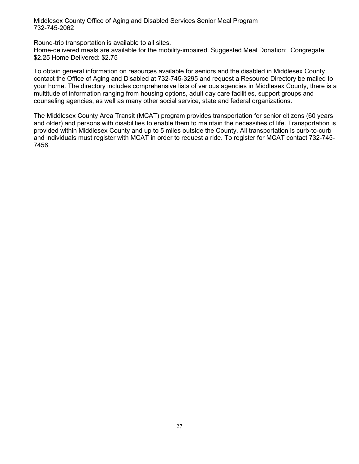Middlesex County Office of Aging and Disabled Services Senior Meal Program 732-745-2062

Round-trip transportation is available to all sites.

Home-delivered meals are available for the mobility-impaired. Suggested Meal Donation: Congregate: \$2.25 Home Delivered: \$2.75

To obtain general information on resources available for seniors and the disabled in Middlesex County contact the Office of Aging and Disabled at 732-745-3295 and request a Resource Directory be mailed to your home. The directory includes comprehensive lists of various agencies in Middlesex County, there is a multitude of information ranging from housing options, adult day care facilities, support groups and counseling agencies, as well as many other social service, state and federal organizations.

The Middlesex County Area Transit (MCAT) program provides transportation for senior citizens (60 years and older) and persons with disabilities to enable them to maintain the necessities of life. Transportation is provided within Middlesex County and up to 5 miles outside the County. All transportation is curb-to-curb and individuals must register with MCAT in order to request a ride. To register for MCAT contact 732-745- 7456.